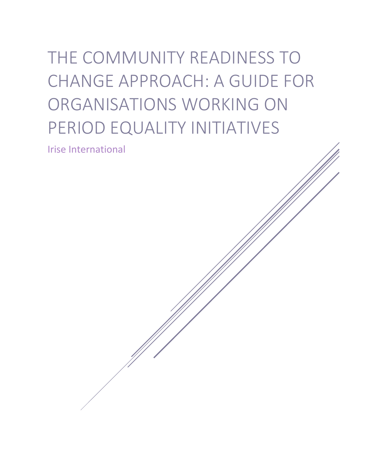# THE COMMUNITY READINESS TO CHANGE APPROACH: A GUIDE FOR ORGANISATIONS WORKING ON PERIOD EQUALITY INITIATIVES

Irise International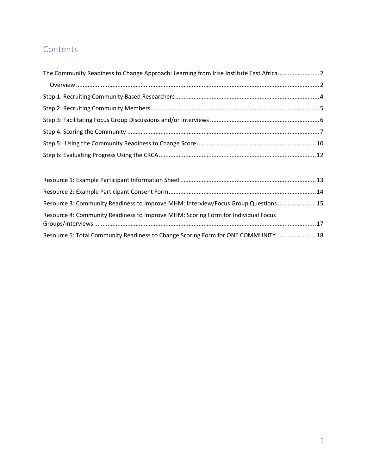# **Contents**

| The Community Readiness to Change Approach: Learning from Irise Institute East Africa2 |  |
|----------------------------------------------------------------------------------------|--|
|                                                                                        |  |
|                                                                                        |  |
|                                                                                        |  |
|                                                                                        |  |
|                                                                                        |  |
|                                                                                        |  |
|                                                                                        |  |

| Resource 3: Community Readiness to Improve MHM: Interview/Focus Group Questions  15 |  |
|-------------------------------------------------------------------------------------|--|
| Resource 4: Community Readiness to Improve MHM: Scoring Form for Individual Focus   |  |
| Resource 5: Total Community Readiness to Change Scoring Form for ONE COMMUNITY 18   |  |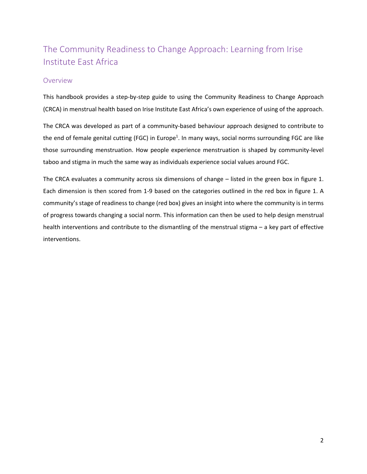# <span id="page-2-0"></span>The Community Readiness to Change Approach: Learning from Irise Institute East Africa

#### <span id="page-2-1"></span>Overview

This handbook provides a step-by-step guide to using the Community Readiness to Change Approach (CRCA) in menstrual health based on Irise Institute East Africa's own experience of using of the approach.

The CRCA was developed as part of a community-based behaviour approach designed to contribute to the end of female genital cutting (FGC) in Europe<sup>1</sup>. In many ways, social norms surrounding FGC are like those surrounding menstruation. How people experience menstruation is shaped by community-level taboo and stigma in much the same way as individuals experience social values around FGC.

The CRCA evaluates a community across six dimensions of change – listed in the green box in figure 1. Each dimension is then scored from 1-9 based on the categories outlined in the red box in figure 1. A community's stage of readiness to change (red box) gives an insight into where the community is in terms of progress towards changing a social norm. This information can then be used to help design menstrual health interventions and contribute to the dismantling of the menstrual stigma – a key part of effective interventions.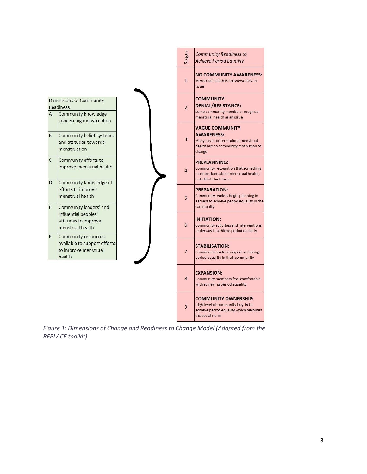

*Figure 1: Dimensions of Change and Readiness to Change Model (Adapted from the REPLACE toolkit)*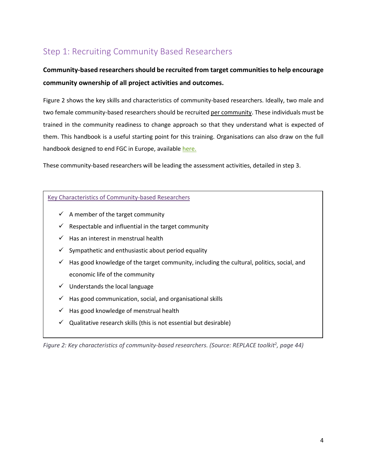# <span id="page-4-0"></span>Step 1: Recruiting Community Based Researchers

### **Community-based researchers should be recruited from target communities to help encourage community ownership of all project activities and outcomes.**

Figure 2 shows the key skills and characteristics of community-based researchers. Ideally, two male and two female community-based researchers should be recruited per community. These individuals must be trained in the community readiness to change approach so that they understand what is expected of them. This handbook is a useful starting point for this training. Organisations can also draw on the full handbook designed to end FGC in Europe, available [here.](https://cesie.org/media/replace2-community-handbook.pdf) 

These community-based researchers will be leading the assessment activities, detailed in step 3.

#### Key Characteristics of Community-based Researchers

- $\checkmark$  A member of the target community
- $\checkmark$  Respectable and influential in the target community
- $\checkmark$  Has an interest in menstrual health
- $\checkmark$  Sympathetic and enthusiastic about period equality
- $\checkmark$  Has good knowledge of the target community, including the cultural, politics, social, and economic life of the community
- $\checkmark$  Understands the local language
- $\checkmark$  Has good communication, social, and organisational skills
- $\checkmark$  Has good knowledge of menstrual health
- $\checkmark$  Qualitative research skills (this is not essential but desirable)

Figure 2: Key characteristics of community-based researchers. (Source: REPLACE toolkit<sup>2</sup>, page 44)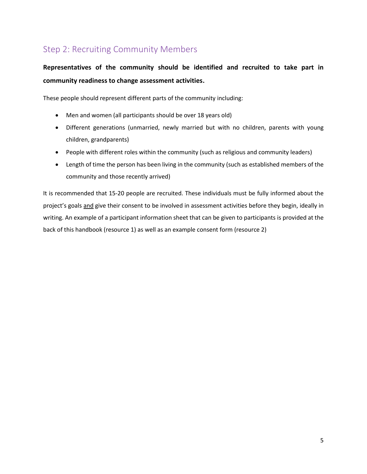# <span id="page-5-0"></span>Step 2: Recruiting Community Members

## **Representatives of the community should be identified and recruited to take part in community readiness to change assessment activities.**

These people should represent different parts of the community including:

- Men and women (all participants should be over 18 years old)
- Different generations (unmarried, newly married but with no children, parents with young children, grandparents)
- People with different roles within the community (such as religious and community leaders)
- Length of time the person has been living in the community (such as established members of the community and those recently arrived)

It is recommended that 15-20 people are recruited. These individuals must be fully informed about the project's goals and give their consent to be involved in assessment activities before they begin, ideally in writing. An example of a participant information sheet that can be given to participants is provided at the back of this handbook (resource 1) as well as an example consent form (resource 2)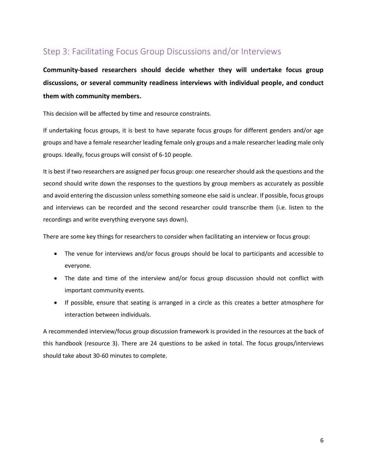## <span id="page-6-0"></span>Step 3: Facilitating Focus Group Discussions and/or Interviews

**Community-based researchers should decide whether they will undertake focus group discussions, or several community readiness interviews with individual people, and conduct them with community members.** 

This decision will be affected by time and resource constraints.

If undertaking focus groups, it is best to have separate focus groups for different genders and/or age groups and have a female researcher leading female only groups and a male researcher leading male only groups. Ideally, focus groups will consist of 6-10 people.

It is best if two researchers are assigned per focus group: one researcher should ask the questions and the second should write down the responses to the questions by group members as accurately as possible and avoid entering the discussion unless something someone else said is unclear. If possible, focus groups and interviews can be recorded and the second researcher could transcribe them (i.e. listen to the recordings and write everything everyone says down).

There are some key things for researchers to consider when facilitating an interview or focus group:

- The venue for interviews and/or focus groups should be local to participants and accessible to everyone.
- The date and time of the interview and/or focus group discussion should not conflict with important community events.
- If possible, ensure that seating is arranged in a circle as this creates a better atmosphere for interaction between individuals.

A recommended interview/focus group discussion framework is provided in the resources at the back of this handbook (resource 3). There are 24 questions to be asked in total. The focus groups/interviews should take about 30-60 minutes to complete.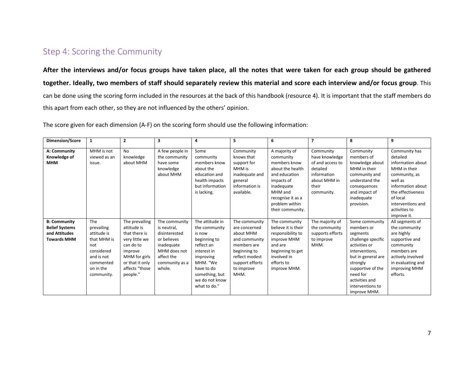### Step 4: Scoring the Community

**After the interviews and/or focus groups have taken place, all the notes that were taken for each group should be gathered together. Ideally, two members of staff should separately review this material and score each interview and/or focus group**. This can be done using the scoring form included in the resources at the back of this handbook (resource 4). It is important that the staff members do this apart from each other, so they are not influenced by the others' opinion.

The score given for each dimension (A-F) on the scoring form should use the following information:

<span id="page-7-0"></span>

| Dimension/Score                                                                     | 1                                                                                                                          | $\overline{2}$                                                                                                                                             | 3                                                                                                                                    | 4                                                                                                                                                                                  | 5                                                                                                                                                      | 6                                                                                                                                                                                 | 7                                                                                                                 | 8                                                                                                                                                                                                                          | 9                                                                                                                                                                                                     |
|-------------------------------------------------------------------------------------|----------------------------------------------------------------------------------------------------------------------------|------------------------------------------------------------------------------------------------------------------------------------------------------------|--------------------------------------------------------------------------------------------------------------------------------------|------------------------------------------------------------------------------------------------------------------------------------------------------------------------------------|--------------------------------------------------------------------------------------------------------------------------------------------------------|-----------------------------------------------------------------------------------------------------------------------------------------------------------------------------------|-------------------------------------------------------------------------------------------------------------------|----------------------------------------------------------------------------------------------------------------------------------------------------------------------------------------------------------------------------|-------------------------------------------------------------------------------------------------------------------------------------------------------------------------------------------------------|
| A: Community<br>Knowledge of<br><b>MHM</b>                                          | MHM is not<br>viewed as an<br>issue.                                                                                       | <b>No</b><br>knowledge<br>about MHM                                                                                                                        | A few people in<br>the community<br>have some<br>knowledge<br>about MHM                                                              | Some<br>community<br>members know<br>about the<br>education and<br>health impacts<br>but information<br>is lacking.                                                                | Community<br>knows that<br>support for<br>MHM is<br>inadequate and<br>general<br>information is<br>available.                                          | A majority of<br>community<br>members know<br>about the health<br>and education<br>impacts of<br>inadequate<br>MHM and<br>recognise it as a<br>problem within<br>their community. | Community<br>have knowledge<br>of and access to<br>detailed<br>information<br>about MHM in<br>their<br>community. | Community<br>members of<br>knowledge about<br>MHM in their<br>community and<br>understand the<br>consequences<br>and impact of<br>inadequate<br>provision.                                                                 | Community has<br>detailed<br>information about<br>MHM in their<br>community, as<br>well as<br>information about<br>the effectiveness<br>of local<br>interventions and<br>activities to<br>improve it. |
| <b>B: Community</b><br><b>Belief Systems</b><br>and Attitudes<br><b>Towards MHM</b> | The<br>prevailing<br>attitude is<br>that MHM is<br>not<br>considered<br>and is not<br>commented<br>on in the<br>community. | The prevailing<br>attitude is<br>that there is<br>very little we<br>can do to<br>improve<br>MHM for girls<br>or that it only<br>affects "those<br>people." | The community<br>is neutral,<br>disinterested<br>or believes<br>inadequate<br>MHM does not<br>affect the<br>community as a<br>whole. | The attitude in<br>the community<br>is now<br>beginning to<br>reflect an<br>interest in<br>improving<br>MHM. "We<br>have to do<br>something, but<br>we do not know<br>what to do." | The community<br>are concerned<br>about MHM<br>and community<br>members are<br>beginning to<br>reflect modest<br>support efforts<br>to improve<br>MHM. | The community<br>believe it is their<br>responsibility to<br>improve MHM<br>and are<br>beginning to get<br>involved in<br>efforts to<br>improve MHM.                              | The majority of<br>the community<br>supports efforts<br>to improve<br>MHM.                                        | Some community<br>members or<br>segments<br>challenge specific<br>activities or<br>interventions.<br>but in general are<br>strongly<br>supportive of the<br>need for<br>activities and<br>interventions to<br>improve MHM. | All segments of<br>the community<br>are highly<br>supportive and<br>community<br>members are<br>actively involved<br>in evaluating and<br>improving MHM<br>efforts.                                   |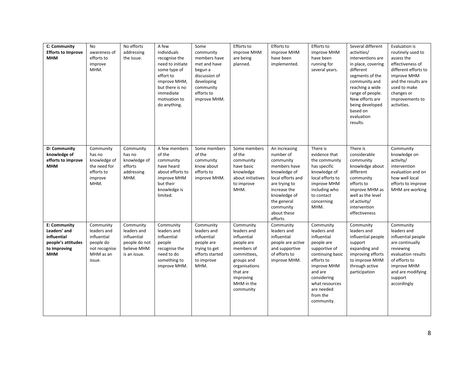| C: Community<br><b>Efforts to Improve</b><br><b>MHM</b>                                                | No<br>awareness of<br>efforts to<br>improve<br>MHM.                                          | No efforts<br>addressing<br>the issue.                                                  | A few<br>individuals<br>recognise the<br>need to initiate<br>some type of<br>effort to<br>improve MHM,<br>but there is no<br>immediate<br>motivation to<br>do anything. | Some<br>community<br>members have<br>met and have<br>begun a<br>discussion of<br>developing<br>community<br>efforts to<br>improve MHM. | Efforts to<br>improve MHM<br>are being<br>planned.                                                                                                                    | Efforts to<br>improve MHM<br>have been<br>implemented.                                                                                                                                               | Efforts to<br>improve MHM<br>have been<br>running for<br>several years.                                                                                                                                     | Several different<br>activities/<br>interventions are<br>in place, covering<br>different<br>segments of the<br>community and<br>reaching a wide<br>range of people.<br>New efforts are<br>being developed<br>based on<br>evaluation<br>results. | Evaluation is<br>routinely used to<br>assess the<br>effectiveness of<br>different efforts to<br>improve MHM<br>and the results are<br>used to make<br>changes or<br>improvements to<br>activities. |
|--------------------------------------------------------------------------------------------------------|----------------------------------------------------------------------------------------------|-----------------------------------------------------------------------------------------|-------------------------------------------------------------------------------------------------------------------------------------------------------------------------|----------------------------------------------------------------------------------------------------------------------------------------|-----------------------------------------------------------------------------------------------------------------------------------------------------------------------|------------------------------------------------------------------------------------------------------------------------------------------------------------------------------------------------------|-------------------------------------------------------------------------------------------------------------------------------------------------------------------------------------------------------------|-------------------------------------------------------------------------------------------------------------------------------------------------------------------------------------------------------------------------------------------------|----------------------------------------------------------------------------------------------------------------------------------------------------------------------------------------------------|
| D: Community<br>knowledge of<br>efforts to improve<br><b>MHM</b>                                       | Community<br>has no<br>knowledge of<br>the need for<br>efforts to<br>improve<br>MHM.         | Community<br>has no<br>knowledge of<br>efforts<br>addressing<br>MHM.                    | A few members<br>of the<br>community<br>have heard<br>about efforts to<br>improve MHM<br>but their<br>knowledge is<br>limited.                                          | Some members<br>of the<br>community<br>know about<br>efforts to<br>improve MHM.                                                        | Some members<br>of the<br>community<br>have basic<br>knowledge<br>about initiatives<br>to improve<br>MHM.                                                             | An increasing<br>number of<br>community<br>members have<br>knowledge of<br>local efforts and<br>are trying to<br>increase the<br>knowledge of<br>the general<br>community<br>about these<br>efforts. | There is<br>evidence that<br>the community<br>has specific<br>knowledge of<br>local efforts to<br>improve MHM<br>including who<br>to contact<br>concerning<br>MHM.                                          | There is<br>considerable<br>community<br>knowledge about<br>different<br>community<br>efforts to<br>improve MHM as<br>well as the level<br>of activity/<br>intervention<br>effectiveness                                                        | Community<br>knowledge on<br>activity/<br>intervention<br>evaluation and on<br>how well local<br>efforts to improve<br>MHM are working                                                             |
| <b>E: Community</b><br>Leaders' and<br>influential<br>people's attitudes<br>to improving<br><b>MHM</b> | Community<br>leaders and<br>influential<br>people do<br>not recognise<br>MHM as an<br>issue. | Community<br>leaders and<br>influential<br>people do not<br>believe MHM<br>is an issue. | Community<br>leaders and<br>influential<br>people<br>recognise the<br>need to do<br>something to<br>improve MHM.                                                        | Community<br>leaders and<br>influential<br>people are<br>trying to get<br>efforts started<br>to improve<br>MHM.                        | Community<br>leaders and<br>influential<br>people are<br>members of<br>committees,<br>groups and<br>organisations<br>that are<br>improving<br>MHM in the<br>community | Community<br>leaders and<br>influential<br>people are active<br>and supportive<br>of efforts to<br>improve MHM.                                                                                      | Community<br>leaders and<br>influential<br>people are<br>supportive of<br>continuing basic<br>efforts to<br>improve MHM<br>and are<br>considering<br>what resources<br>are needed<br>from the<br>community. | Community<br>leaders and<br>influential people<br>support<br>expanding and<br>improving efforts<br>to improve MHM<br>through active<br>participation                                                                                            | Community<br>leaders and<br>influential people<br>are continually<br>reviewing<br>evaluation results<br>of efforts to<br>improve MHM<br>and are modifying<br>support<br>accordingly                |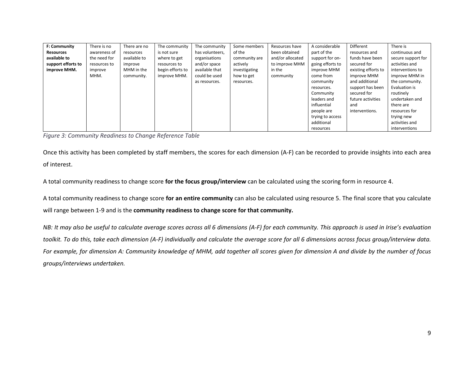| F: Community       | There is no  | There are no | The community    | The community   | Some members  | Resources have   | A considerable   | Different           | There is           |
|--------------------|--------------|--------------|------------------|-----------------|---------------|------------------|------------------|---------------------|--------------------|
| Resources          | awareness of | resources    | is not sure      | has volunteers, | of the        | been obtained    | part of the      | resources and       | continuous and     |
| available to       | the need for | available to | where to get     | organisations   | community are | and/or allocated | support for on-  | funds have been     | secure support for |
| support efforts to | resources to | improve      | resources to     | and/or space    | actively      | to improve MHM   | going efforts to | secured for         | activities and     |
| improve MHM.       | improve      | MHM in the   | begin efforts to | available that  | investigating | in the           | improve MHM      | existing efforts to | interventions to   |
|                    | MHM.         | community.   | improve MHM.     | could be used   | how to get    | community        | come from        | improve MHM         | improve MHM in     |
|                    |              |              |                  | as resources.   | resources.    |                  | community        | and additional      | the community.     |
|                    |              |              |                  |                 |               |                  | resources.       | support has been    | Evaluation is      |
|                    |              |              |                  |                 |               |                  | Community        | secured for         | routinely          |
|                    |              |              |                  |                 |               |                  | leaders and      | future activities   | undertaken and     |
|                    |              |              |                  |                 |               |                  | influential      | and                 | there are          |
|                    |              |              |                  |                 |               |                  | people are       | interventions.      | resources for      |
|                    |              |              |                  |                 |               |                  | trying to access |                     | trying new         |
|                    |              |              |                  |                 |               |                  | additional       |                     | activities and     |
|                    |              |              |                  |                 |               |                  | resources        |                     | interventions      |

*Figure 3: Community Readiness to Change Reference Table*

Once this activity has been completed by staff members, the scores for each dimension (A-F) can be recorded to provide insights into each area of interest.

A total community readiness to change score **for the focus group/interview** can be calculated using the scoring form in resource 4.

A total community readiness to change score **for an entire community** can also be calculated using resource 5. The final score that you calculate will range between 1-9 and is the **community readiness to change score for that community.**

*NB: It may also be useful to calculate average scores across all 6 dimensions (A-F) for each community. This approach is used in Irise's evaluation toolkit. To do this, take each dimension (A-F) individually and calculate the average score for all 6 dimensions across focus group/interview data.* For example, for dimension A: Community knowledge of MHM, add together all scores given for dimension A and divide by the number of focus *groups/interviews undertaken.*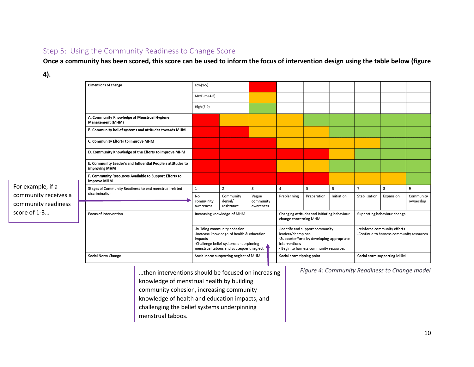#### Step 5: Using the Community Readiness to Change Score

**Once a community has been scored, this score can be used to inform the focus of intervention design using the table below (figure** 

#### **4).**

<span id="page-10-0"></span>

|                      | <b>Dimensions of Change</b>                                                         | $Low(1-5)$                                                                                                                                                                  |                                       |                                 |                                                                                                                                                               |             |            |                                                                          |           |                        |
|----------------------|-------------------------------------------------------------------------------------|-----------------------------------------------------------------------------------------------------------------------------------------------------------------------------|---------------------------------------|---------------------------------|---------------------------------------------------------------------------------------------------------------------------------------------------------------|-------------|------------|--------------------------------------------------------------------------|-----------|------------------------|
|                      |                                                                                     | Medium (4-6)                                                                                                                                                                |                                       |                                 |                                                                                                                                                               |             |            |                                                                          |           |                        |
|                      |                                                                                     | High (7-9)                                                                                                                                                                  |                                       |                                 |                                                                                                                                                               |             |            |                                                                          |           |                        |
|                      | A. Community Knowledge of Menstrual Hygiene<br><b>Management (MHM)</b>              |                                                                                                                                                                             |                                       |                                 |                                                                                                                                                               |             |            |                                                                          |           |                        |
|                      | B. Community belief systems and attitudes towards MHM                               |                                                                                                                                                                             |                                       |                                 |                                                                                                                                                               |             |            |                                                                          |           |                        |
|                      | C. Community Efforts to improve MHM                                                 |                                                                                                                                                                             |                                       |                                 |                                                                                                                                                               |             |            |                                                                          |           |                        |
|                      | D. Community Knowledge of the Efforts to improve MHM                                |                                                                                                                                                                             |                                       |                                 |                                                                                                                                                               |             |            |                                                                          |           |                        |
|                      | E. Community Leader's and Influential People's attitudes to<br><b>improving MHM</b> |                                                                                                                                                                             |                                       |                                 |                                                                                                                                                               |             |            |                                                                          |           |                        |
|                      | F. Community Resources Available to Support Efforts to<br>improve MHM               |                                                                                                                                                                             |                                       |                                 |                                                                                                                                                               |             |            |                                                                          |           |                        |
| For example, if a    | Stages of Community Readiness to end menstrual related                              | $\mathbf{1}$                                                                                                                                                                | $\overline{2}$                        | 3                               | $\overline{4}$                                                                                                                                                | 5           | 6          | $\overline{7}$                                                           | 8         | 9                      |
| community receives a | discrimination                                                                      | No<br>community<br>awareness                                                                                                                                                | Community<br>denial/<br>resistance    | Vague<br>community<br>awareness | Preplanning                                                                                                                                                   | Preparation | Initiation | Stabilisation                                                            | Expansion | Community<br>ownership |
| community readiness  |                                                                                     |                                                                                                                                                                             |                                       |                                 |                                                                                                                                                               |             |            |                                                                          |           |                        |
| score of 1-3         | Focus of Intervention                                                               | Increasing knowledge of MHM                                                                                                                                                 |                                       |                                 | Changing attitudes and initiating behaviour<br>change concerning MHM                                                                                          |             |            | Supporting behaviour change                                              |           |                        |
|                      |                                                                                     | -building community cohesion<br>-increase knowledge of health & education<br>impacts<br>-Challenge belief systems underpinning<br>menstrual taboos and subsequent neglect 1 |                                       |                                 | -identify and support community<br>leaders/champions<br>-Support efforts by developing appropriate<br>interventions<br>- Begin to harness community resources |             |            | -reinforce community efforts<br>-Continue to harness community resources |           |                        |
|                      | Social Norm Change                                                                  |                                                                                                                                                                             | Social norm supporting neglect of MHM |                                 | Social norm tipping point                                                                                                                                     |             |            | Social norm supporting MHM                                               |           |                        |
|                      |                                                                                     |                                                                                                                                                                             |                                       |                                 |                                                                                                                                                               |             |            |                                                                          |           |                        |

…then interventions should be focused on increasing knowledge of menstrual health by building community cohesion, increasing community knowledge of health and education impacts, and challenging the belief systems underpinning menstrual taboos.

*Figure 4: Community Readiness to Change model*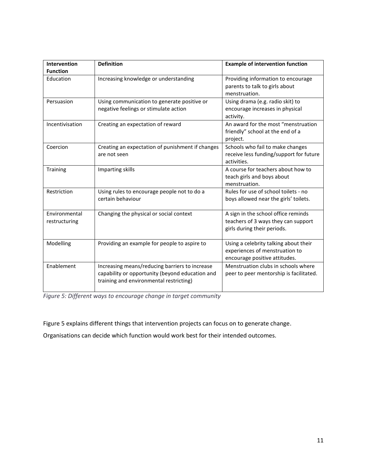| Intervention<br><b>Function</b> | <b>Definition</b>                                                                                                                            | <b>Example of intervention function</b>                                                                   |
|---------------------------------|----------------------------------------------------------------------------------------------------------------------------------------------|-----------------------------------------------------------------------------------------------------------|
| Education                       | Increasing knowledge or understanding                                                                                                        | Providing information to encourage<br>parents to talk to girls about<br>menstruation.                     |
| Persuasion                      | Using communication to generate positive or<br>negative feelings or stimulate action                                                         | Using drama (e.g. radio skit) to<br>encourage increases in physical<br>activity.                          |
| Incentivisation                 | Creating an expectation of reward                                                                                                            | An award for the most "menstruation<br>friendly" school at the end of a<br>project.                       |
| Coercion                        | Creating an expectation of punishment if changes<br>are not seen                                                                             | Schools who fail to make changes<br>receive less funding/support for future<br>activities.                |
| <b>Training</b>                 | Imparting skills                                                                                                                             | A course for teachers about how to<br>teach girls and boys about<br>menstruation.                         |
| Restriction                     | Using rules to encourage people not to do a<br>certain behaviour                                                                             | Rules for use of school toilets - no<br>boys allowed near the girls' toilets.                             |
| Environmental<br>restructuring  | Changing the physical or social context                                                                                                      | A sign in the school office reminds<br>teachers of 3 ways they can support<br>girls during their periods. |
| Modelling                       | Providing an example for people to aspire to                                                                                                 | Using a celebrity talking about their<br>experiences of menstruation to<br>encourage positive attitudes.  |
| Enablement                      | Increasing means/reducing barriers to increase<br>capability or opportunity (beyond education and<br>training and environmental restricting) | Menstruation clubs in schools where<br>peer to peer mentorship is facilitated.                            |

*Figure 5: Different ways to encourage change in target community*

Figure 5 explains different things that intervention projects can focus on to generate change.

Organisations can decide which function would work best for their intended outcomes.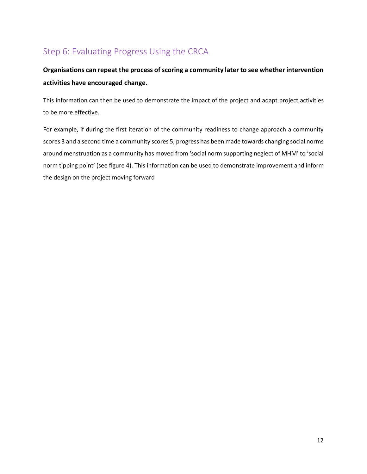# <span id="page-12-0"></span>Step 6: Evaluating Progress Using the CRCA

### **Organisations can repeat the process of scoring a community later to see whether intervention activities have encouraged change.**

This information can then be used to demonstrate the impact of the project and adapt project activities to be more effective.

For example, if during the first iteration of the community readiness to change approach a community scores 3 and a second time a community scores 5, progress has been made towards changing social norms around menstruation as a community has moved from 'social norm supporting neglect of MHM' to 'social norm tipping point' (see figure 4). This information can be used to demonstrate improvement and inform the design on the project moving forward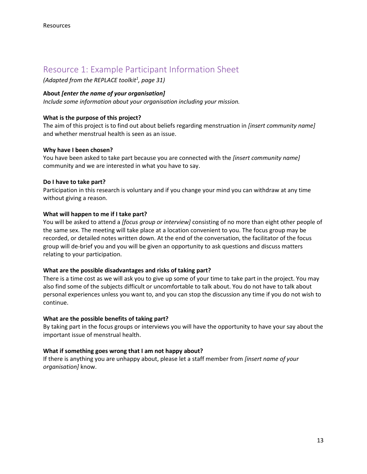### <span id="page-13-0"></span>Resource 1: Example Participant Information Sheet

*(Adapted from the REPLACE toolkit<sup>1</sup> , page 31)*

#### **About** *[enter the name of your organisation]*

*Include some information about your organisation including your mission.*

#### **What is the purpose of this project?**

The aim of this project is to find out about beliefs regarding menstruation in *[insert community name]*  and whether menstrual health is seen as an issue.

#### **Why have I been chosen?**

You have been asked to take part because you are connected with the *[insert community name]*  community and we are interested in what you have to say.

#### **Do I have to take part?**

Participation in this research is voluntary and if you change your mind you can withdraw at any time without giving a reason.

#### **What will happen to me if I take part?**

You will be asked to attend a *[focus group or interview]* consisting of no more than eight other people of the same sex. The meeting will take place at a location convenient to you. The focus group may be recorded, or detailed notes written down. At the end of the conversation, the facilitator of the focus group will de-brief you and you will be given an opportunity to ask questions and discuss matters relating to your participation.

#### **What are the possible disadvantages and risks of taking part?**

There is a time cost as we will ask you to give up some of your time to take part in the project. You may also find some of the subjects difficult or uncomfortable to talk about. You do not have to talk about personal experiences unless you want to, and you can stop the discussion any time if you do not wish to continue.

#### **What are the possible benefits of taking part?**

By taking part in the focus groups or interviews you will have the opportunity to have your say about the important issue of menstrual health.

#### **What if something goes wrong that I am not happy about?**

If there is anything you are unhappy about, please let a staff member from *[insert name of your organisation]* know.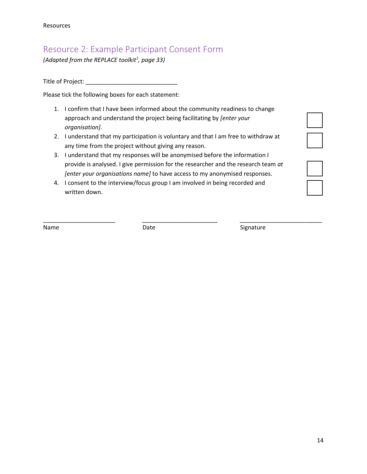## <span id="page-14-0"></span>Resource 2: Example Participant Consent Form

*(Adapted from the REPLACE toolkit<sup>1</sup> , page 33)*

Title of Project: \_\_\_\_\_\_\_\_\_\_\_\_\_\_\_\_\_\_\_\_\_\_\_\_\_\_\_\_

Please tick the following boxes for each statement:

- 1. I confirm that I have been informed about the community readiness to change approach and understand the project being facilitating by *[enter your organisation].*
- 2. I understand that my participation is voluntary and that I am free to withdraw at any time from the project without giving any reason.
- 3. I understand that my responses will be anonymised before the information I provide is analysed. I give permission for the researcher and the research team *at [enter your organisations name]* to have access to my anonymised responses.
- 4. I consent to the interview/focus group I am involved in being recorded and written down.

\_\_\_\_\_\_\_\_\_\_\_\_\_\_\_\_\_\_\_\_\_\_ \_\_\_\_\_\_\_\_\_\_\_\_\_\_\_\_\_\_\_\_\_\_\_ \_\_\_\_\_\_\_\_\_\_\_\_\_\_\_\_\_\_\_\_\_\_\_\_\_

Name **Name Date Contract Signature Name Contract Signature** 

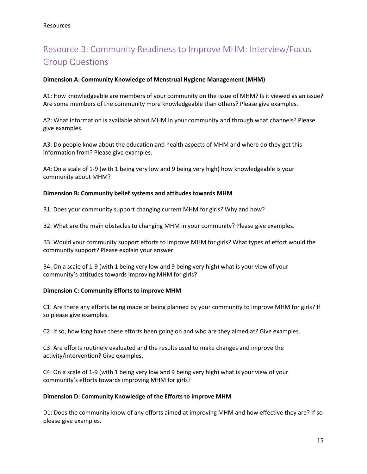# <span id="page-15-0"></span>Resource 3: Community Readiness to Improve MHM: Interview/Focus Group Questions

#### **Dimension A: Community Knowledge of Menstrual Hygiene Management (MHM)**

A1: How knowledgeable are members of your community on the issue of MHM? Is it viewed as an issue? Are some members of the community more knowledgeable than others? Please give examples.

A2: What information is available about MHM in your community and through what channels? Please give examples.

A3: Do people know about the education and health aspects of MHM and where do they get this information from? Please give examples.

A4: On a scale of 1-9 (with 1 being very low and 9 being very high) how knowledgeable is your community about MHM?

#### **Dimension B: Community belief systems and attitudes towards MHM**

B1: Does your community support changing current MHM for girls? Why and how?

B2: What are the main obstacles to changing MHM in your community? Please give examples.

B3: Would your community support efforts to improve MHM for girls? What types of effort would the community support? Please explain your answer.

B4: On a scale of 1-9 (with 1 being very low and 9 being very high) what is your view of your community's attitudes towards improving MHM for girls?

#### **Dimension C: Community Efforts to improve MHM**

C1: Are there any efforts being made or being planned by your community to improve MHM for girls? If so please give examples.

C2: If so, how long have these efforts been going on and who are they aimed at? Give examples.

C3: Are efforts routinely evaluated and the results used to make changes and improve the activity/intervention? Give examples.

C4: On a scale of 1-9 (with 1 being very low and 9 being very high) what is your view of your community's efforts towards improving MHM for girls?

#### **Dimension D: Community Knowledge of the Efforts to improve MHM**

D1: Does the community know of any efforts aimed at improving MHM and how effective they are? If so please give examples.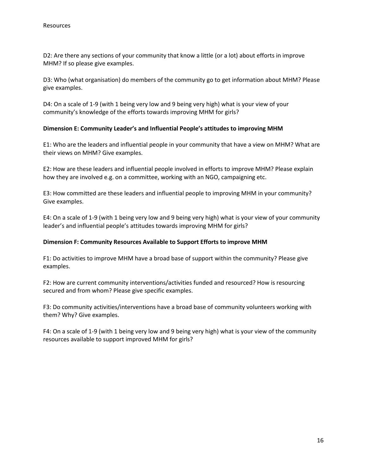D2: Are there any sections of your community that know a little (or a lot) about efforts in improve MHM? If so please give examples.

D3: Who (what organisation) do members of the community go to get information about MHM? Please give examples.

D4: On a scale of 1-9 (with 1 being very low and 9 being very high) what is your view of your community's knowledge of the efforts towards improving MHM for girls?

#### **Dimension E: Community Leader's and Influential People's attitudes to improving MHM**

E1: Who are the leaders and influential people in your community that have a view on MHM? What are their views on MHM? Give examples.

E2: How are these leaders and influential people involved in efforts to improve MHM? Please explain how they are involved e.g. on a committee, working with an NGO, campaigning etc.

E3: How committed are these leaders and influential people to improving MHM in your community? Give examples.

E4: On a scale of 1-9 (with 1 being very low and 9 being very high) what is your view of your community leader's and influential people's attitudes towards improving MHM for girls?

#### **Dimension F: Community Resources Available to Support Efforts to improve MHM**

F1: Do activities to improve MHM have a broad base of support within the community? Please give examples.

F2: How are current community interventions/activities funded and resourced? How is resourcing secured and from whom? Please give specific examples.

F3: Do community activities/interventions have a broad base of community volunteers working with them? Why? Give examples.

F4: On a scale of 1-9 (with 1 being very low and 9 being very high) what is your view of the community resources available to support improved MHM for girls?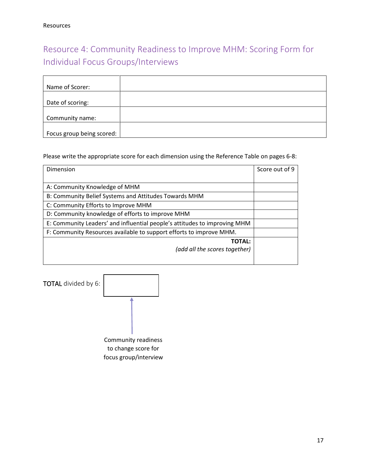# <span id="page-17-0"></span>Resource 4: Community Readiness to Improve MHM: Scoring Form for Individual Focus Groups/Interviews

| Name of Scorer:           |  |
|---------------------------|--|
|                           |  |
| Date of scoring:          |  |
|                           |  |
| Community name:           |  |
|                           |  |
| Focus group being scored: |  |

Please write the appropriate score for each dimension using the Reference Table on pages 6-8:

| Dimension                                                                 | Score out of 9 |
|---------------------------------------------------------------------------|----------------|
|                                                                           |                |
| A: Community Knowledge of MHM                                             |                |
| B: Community Belief Systems and Attitudes Towards MHM                     |                |
| C: Community Efforts to Improve MHM                                       |                |
| D: Community knowledge of efforts to improve MHM                          |                |
| E: Community Leaders' and influential people's attitudes to improving MHM |                |
| F: Community Resources available to support efforts to improve MHM.       |                |
| <b>TOTAL:</b>                                                             |                |
| (add all the scores together)                                             |                |
|                                                                           |                |
|                                                                           |                |